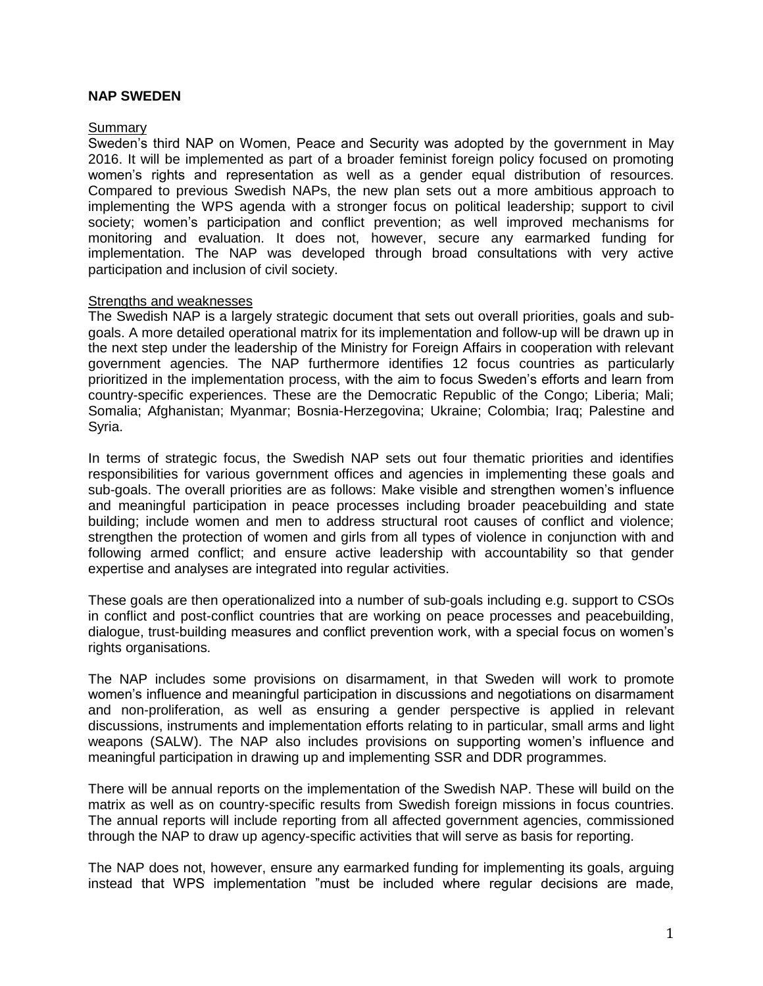## **NAP SWEDEN**

## Summary

Sweden's third NAP on Women, Peace and Security was adopted by the government in May 2016. It will be implemented as part of a broader feminist foreign policy focused on promoting women's rights and representation as well as a gender equal distribution of resources. Compared to previous Swedish NAPs, the new plan sets out a more ambitious approach to implementing the WPS agenda with a stronger focus on political leadership; support to civil society; women's participation and conflict prevention; as well improved mechanisms for monitoring and evaluation. It does not, however, secure any earmarked funding for implementation. The NAP was developed through broad consultations with very active participation and inclusion of civil society.

## Strengths and weaknesses

The Swedish NAP is a largely strategic document that sets out overall priorities, goals and subgoals. A more detailed operational matrix for its implementation and follow-up will be drawn up in the next step under the leadership of the Ministry for Foreign Affairs in cooperation with relevant government agencies. The NAP furthermore identifies 12 focus countries as particularly prioritized in the implementation process, with the aim to focus Sweden's efforts and learn from country-specific experiences. These are the Democratic Republic of the Congo; Liberia; Mali; Somalia; Afghanistan; Myanmar; Bosnia-Herzegovina; Ukraine; Colombia; Iraq; Palestine and Syria.

In terms of strategic focus, the Swedish NAP sets out four thematic priorities and identifies responsibilities for various government offices and agencies in implementing these goals and sub-goals. The overall priorities are as follows: Make visible and strengthen women's influence and meaningful participation in peace processes including broader peacebuilding and state building; include women and men to address structural root causes of conflict and violence; strengthen the protection of women and girls from all types of violence in conjunction with and following armed conflict; and ensure active leadership with accountability so that gender expertise and analyses are integrated into regular activities.

These goals are then operationalized into a number of sub-goals including e.g. support to CSOs in conflict and post-conflict countries that are working on peace processes and peacebuilding, dialogue, trust-building measures and conflict prevention work, with a special focus on women's rights organisations.

The NAP includes some provisions on disarmament, in that Sweden will work to promote women's influence and meaningful participation in discussions and negotiations on disarmament and non-proliferation, as well as ensuring a gender perspective is applied in relevant discussions, instruments and implementation efforts relating to in particular, small arms and light weapons (SALW). The NAP also includes provisions on supporting women's influence and meaningful participation in drawing up and implementing SSR and DDR programmes.

There will be annual reports on the implementation of the Swedish NAP. These will build on the matrix as well as on country-specific results from Swedish foreign missions in focus countries. The annual reports will include reporting from all affected government agencies, commissioned through the NAP to draw up agency-specific activities that will serve as basis for reporting.

The NAP does not, however, ensure any earmarked funding for implementing its goals, arguing instead that WPS implementation "must be included where regular decisions are made,